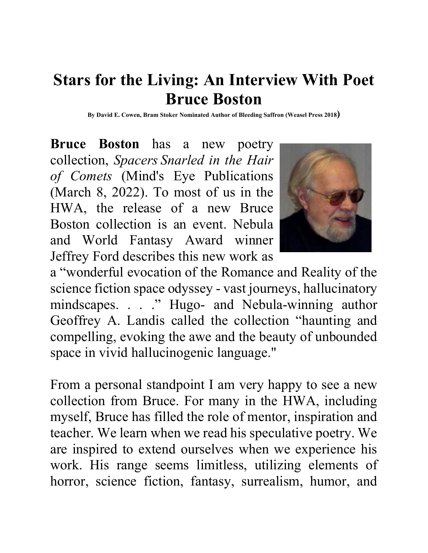# **Stars for the Living: An Interview With Poet Bruce Boston**

**By David E. Cowen, Bram Stoker Nominated Author of Bleeding Saffron (Weasel Press 2018)**

**Bruce Boston** has a new poetry collection, *Spacers Snarled in the Hair of Comets* (Mind's Eye Publications (March 8, 2022). To most of us in the HWA, the release of a new Bruce Boston collection is an event. Nebula and World Fantasy Award winner Jeffrey Ford describes this new work as



a "wonderful evocation of the Romance and Reality of the science fiction space odyssey - vast journeys, hallucinatory mindscapes. . . ." Hugo- and Nebula-winning author Geoffrey A. Landis called the collection "haunting and compelling, evoking the awe and the beauty of unbounded space in vivid hallucinogenic language."

From a personal standpoint I am very happy to see a new collection from Bruce. For many in the HWA, including myself, Bruce has filled the role of mentor, inspiration and teacher. We learn when we read his speculative poetry. We are inspired to extend ourselves when we experience his work. His range seems limitless, utilizing elements of horror, science fiction, fantasy, surrealism, humor, and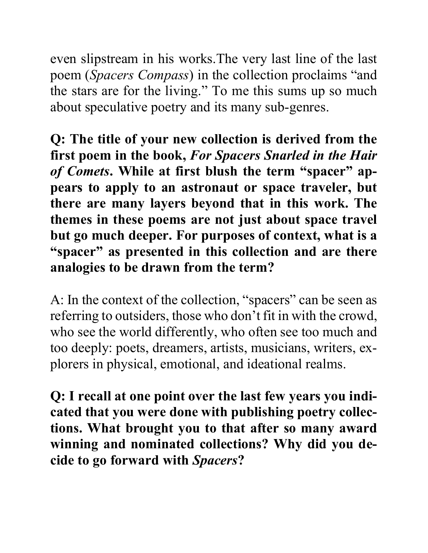even slipstream in his works.The very last line of the last poem (*Spacers Compass*) in the collection proclaims "and the stars are for the living." To me this sums up so much about speculative poetry and its many sub-genres.

**Q: The title of your new collection is derived from the first poem in the book,** *For Spacers Snarled in the Hair of Comets***. While at first blush the term "spacer" appears to apply to an astronaut or space traveler, but there are many layers beyond that in this work. The themes in these poems are not just about space travel but go much deeper. For purposes of context, what is a "spacer" as presented in this collection and are there analogies to be drawn from the term?**

A: In the context of the collection, "spacers" can be seen as referring to outsiders, those who don't fit in with the crowd, who see the world differently, who often see too much and too deeply: poets, dreamers, artists, musicians, writers, explorers in physical, emotional, and ideational realms.

**Q: I recall at one point over the last few years you indicated that you were done with publishing poetry collections. What brought you to that after so many award winning and nominated collections? Why did you decide to go forward with** *Spacers***?**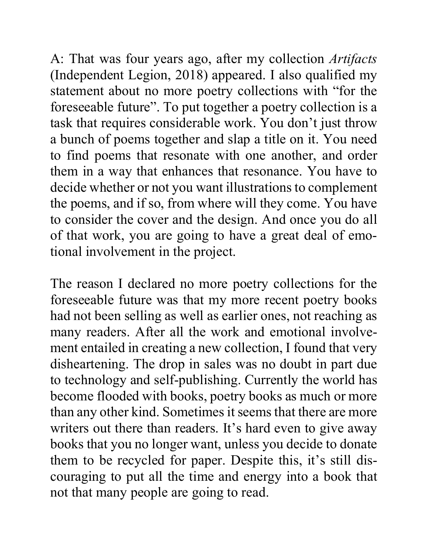A: That was four years ago, after my collection *Artifacts* (Independent Legion, 2018) appeared. I also qualified my statement about no more poetry collections with "for the foreseeable future". To put together a poetry collection is a task that requires considerable work. You don't just throw a bunch of poems together and slap a title on it. You need to find poems that resonate with one another, and order them in a way that enhances that resonance. You have to decide whether or not you want illustrations to complement the poems, and if so, from where will they come. You have to consider the cover and the design. And once you do all of that work, you are going to have a great deal of emotional involvement in the project.

The reason I declared no more poetry collections for the foreseeable future was that my more recent poetry books had not been selling as well as earlier ones, not reaching as many readers. After all the work and emotional involvement entailed in creating a new collection, I found that very disheartening. The drop in sales was no doubt in part due to technology and self-publishing. Currently the world has become flooded with books, poetry books as much or more than any other kind. Sometimes it seems that there are more writers out there than readers. It's hard even to give away books that you no longer want, unless you decide to donate them to be recycled for paper. Despite this, it's still discouraging to put all the time and energy into a book that not that many people are going to read.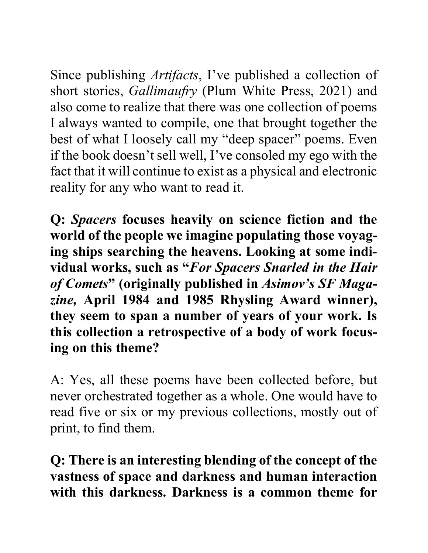Since publishing *Artifacts*, I've published a collection of short stories, *Gallimaufry* (Plum White Press, 2021) and also come to realize that there was one collection of poems I always wanted to compile, one that brought together the best of what I loosely call my "deep spacer" poems. Even if the book doesn't sell well, I've consoled my ego with the fact that it will continue to exist as a physical and electronic reality for any who want to read it.

**Q:** *Spacers* **focuses heavily on science fiction and the world of the people we imagine populating those voyaging ships searching the heavens. Looking at some individual works, such as "***For Spacers Snarled in the Hair of Comets***" (originally published in** *Asimov's SF Magazine,* **April 1984 and 1985 Rhysling Award winner), they seem to span a number of years of your work. Is this collection a retrospective of a body of work focusing on this theme?** 

A: Yes, all these poems have been collected before, but never orchestrated together as a whole. One would have to read five or six or my previous collections, mostly out of print, to find them.

**Q: There is an interesting blending of the concept of the vastness of space and darkness and human interaction with this darkness. Darkness is a common theme for**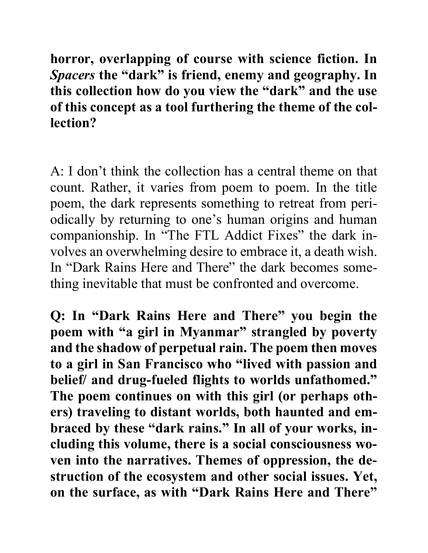**horror, overlapping of course with science fiction. In**  *Spacers* **the "dark" is friend, enemy and geography. In this collection how do you view the "dark" and the use of this concept as a tool furthering the theme of the collection?** 

A: I don't think the collection has a central theme on that count. Rather, it varies from poem to poem. In the title poem, the dark represents something to retreat from periodically by returning to one's human origins and human companionship. In "The FTL Addict Fixes" the dark involves an overwhelming desire to embrace it, a death wish. In "Dark Rains Here and There" the dark becomes something inevitable that must be confronted and overcome.

**Q: In "Dark Rains Here and There" you begin the poem with "a girl in Myanmar" strangled by poverty and the shadow of perpetual rain. The poem then moves to a girl in San Francisco who "lived with passion and belief/ and drug-fueled flights to worlds unfathomed." The poem continues on with this girl (or perhaps others) traveling to distant worlds, both haunted and embraced by these "dark rains." In all of your works, including this volume, there is a social consciousness woven into the narratives. Themes of oppression, the destruction of the ecosystem and other social issues. Yet, on the surface, as with "Dark Rains Here and There"**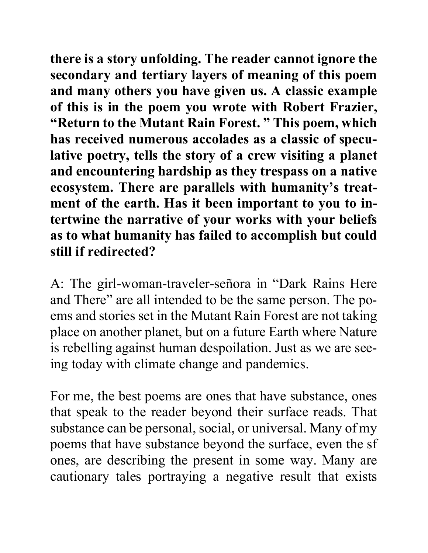**there is a story unfolding. The reader cannot ignore the secondary and tertiary layers of meaning of this poem and many others you have given us. A classic example of this is in the poem you wrote with Robert Frazier, "Return to the Mutant Rain Forest. " This poem, which has received numerous accolades as a classic of speculative poetry, tells the story of a crew visiting a planet and encountering hardship as they trespass on a native ecosystem. There are parallels with humanity's treatment of the earth. Has it been important to you to intertwine the narrative of your works with your beliefs as to what humanity has failed to accomplish but could still if redirected?** 

A: The girl-woman-traveler-señora in "Dark Rains Here and There" are all intended to be the same person. The poems and stories set in the Mutant Rain Forest are not taking place on another planet, but on a future Earth where Nature is rebelling against human despoilation. Just as we are seeing today with climate change and pandemics.

For me, the best poems are ones that have substance, ones that speak to the reader beyond their surface reads. That substance can be personal, social, or universal. Many of my poems that have substance beyond the surface, even the sf ones, are describing the present in some way. Many are cautionary tales portraying a negative result that exists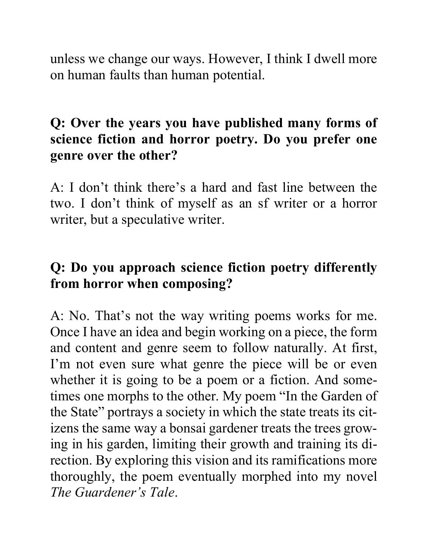unless we change our ways. However, I think I dwell more on human faults than human potential.

### **Q: Over the years you have published many forms of science fiction and horror poetry. Do you prefer one genre over the other?**

A: I don't think there's a hard and fast line between the two. I don't think of myself as an sf writer or a horror writer, but a speculative writer.

# **Q: Do you approach science fiction poetry differently from horror when composing?**

A: No. That's not the way writing poems works for me. Once I have an idea and begin working on a piece, the form and content and genre seem to follow naturally. At first, I'm not even sure what genre the piece will be or even whether it is going to be a poem or a fiction. And sometimes one morphs to the other. My poem "In the Garden of the State" portrays a society in which the state treats its citizens the same way a bonsai gardener treats the trees growing in his garden, limiting their growth and training its direction. By exploring this vision and its ramifications more thoroughly, the poem eventually morphed into my novel *The Guardener's Tale*.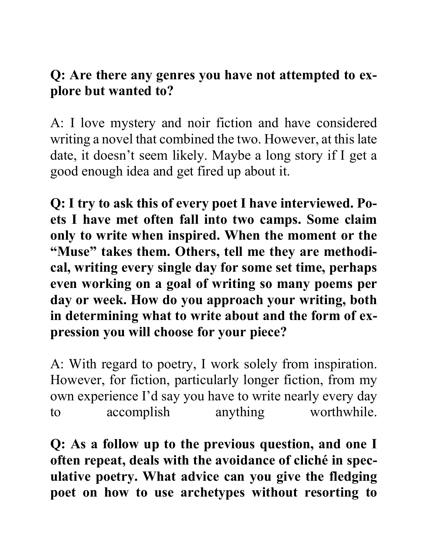#### **Q: Are there any genres you have not attempted to explore but wanted to?**

A: I love mystery and noir fiction and have considered writing a novel that combined the two. However, at this late date, it doesn't seem likely. Maybe a long story if I get a good enough idea and get fired up about it.

**Q: I try to ask this of every poet I have interviewed. Poets I have met often fall into two camps. Some claim only to write when inspired. When the moment or the "Muse" takes them. Others, tell me they are methodical, writing every single day for some set time, perhaps even working on a goal of writing so many poems per day or week. How do you approach your writing, both in determining what to write about and the form of expression you will choose for your piece?** 

A: With regard to poetry, I work solely from inspiration. However, for fiction, particularly longer fiction, from my own experience I'd say you have to write nearly every day to accomplish anything worthwhile.

**Q: As a follow up to the previous question, and one I often repeat, deals with the avoidance of cliché in speculative poetry. What advice can you give the fledging poet on how to use archetypes without resorting to**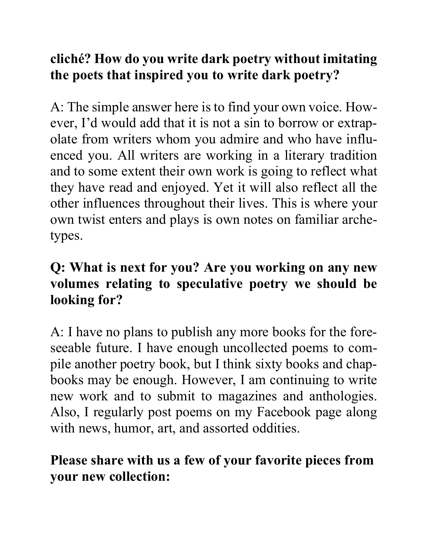# **cliché? How do you write dark poetry without imitating the poets that inspired you to write dark poetry?**

A: The simple answer here is to find your own voice. However, I'd would add that it is not a sin to borrow or extrapolate from writers whom you admire and who have influenced you. All writers are working in a literary tradition and to some extent their own work is going to reflect what they have read and enjoyed. Yet it will also reflect all the other influences throughout their lives. This is where your own twist enters and plays is own notes on familiar archetypes.

# **Q: What is next for you? Are you working on any new volumes relating to speculative poetry we should be looking for?**

A: I have no plans to publish any more books for the foreseeable future. I have enough uncollected poems to compile another poetry book, but I think sixty books and chapbooks may be enough. However, I am continuing to write new work and to submit to magazines and anthologies. Also, I regularly post poems on my Facebook page along with news, humor, art, and assorted oddities.

# **Please share with us a few of your favorite pieces from your new collection:**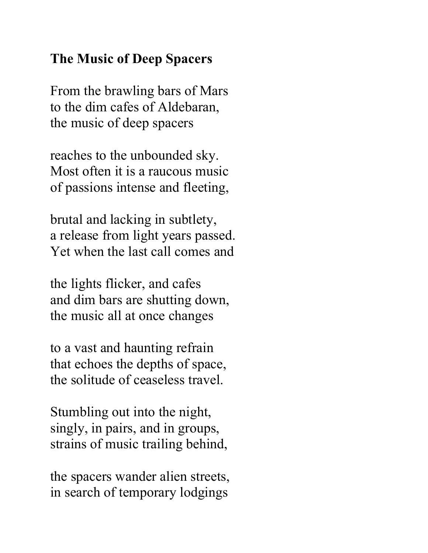### **The Music of Deep Spacers**

From the brawling bars of Mars to the dim cafes of Aldebaran, the music of deep spacers

reaches to the unbounded sky. Most often it is a raucous music of passions intense and fleeting,

brutal and lacking in subtlety, a release from light years passed. Yet when the last call comes and

the lights flicker, and cafes and dim bars are shutting down, the music all at once changes

to a vast and haunting refrain that echoes the depths of space, the solitude of ceaseless travel.

Stumbling out into the night, singly, in pairs, and in groups, strains of music trailing behind,

the spacers wander alien streets, in search of temporary lodgings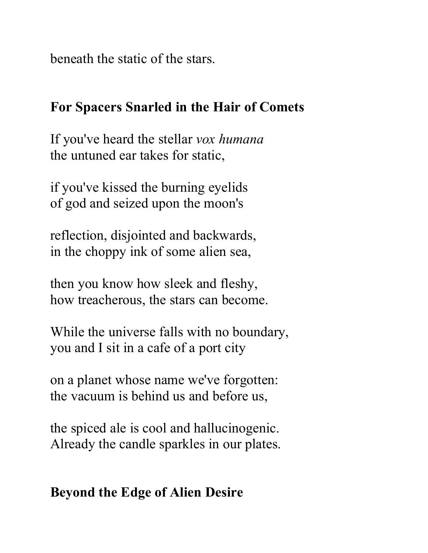beneath the static of the stars.

#### **For Spacers Snarled in the Hair of Comets**

If you've heard the stellar *vox humana* the untuned ear takes for static,

if you've kissed the burning eyelids of god and seized upon the moon's

reflection, disjointed and backwards, in the choppy ink of some alien sea,

then you know how sleek and fleshy, how treacherous, the stars can become.

While the universe falls with no boundary, you and I sit in a cafe of a port city

on a planet whose name we've forgotten: the vacuum is behind us and before us,

the spiced ale is cool and hallucinogenic. Already the candle sparkles in our plates.

### **Beyond the Edge of Alien Desire**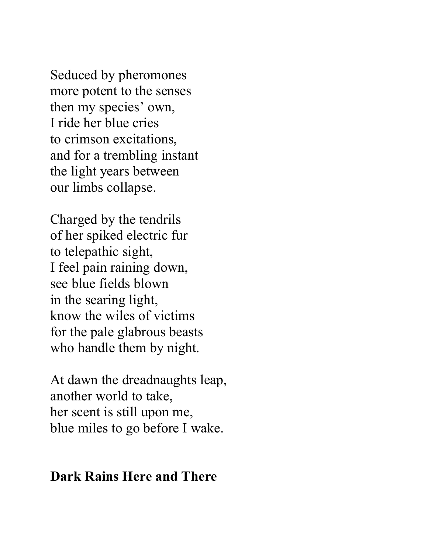Seduced by pheromones more potent to the senses then my species' own, I ride her blue cries to crimson excitations, and for a trembling instant the light years between our limbs collapse.

Charged by the tendrils of her spiked electric fur to telepathic sight, I feel pain raining down, see blue fields blown in the searing light, know the wiles of victims for the pale glabrous beasts who handle them by night.

At dawn the dreadnaughts leap, another world to take, her scent is still upon me, blue miles to go before I wake.

#### **Dark Rains Here and There**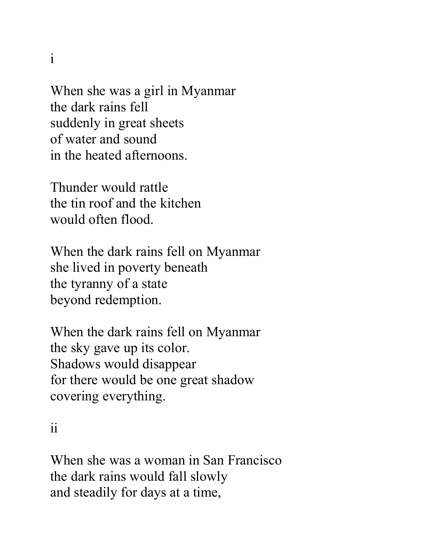i

When she was a girl in Myanmar the dark rains fell suddenly in great sheets of water and sound in the heated afternoons.

Thunder would rattle the tin roof and the kitchen would often flood.

When the dark rains fell on Myanmar she lived in poverty beneath the tyranny of a state beyond redemption.

When the dark rains fell on Myanmar the sky gave up its color. Shadows would disappear for there would be one great shadow covering everything.

ii

When she was a woman in San Francisco the dark rains would fall slowly and steadily for days at a time,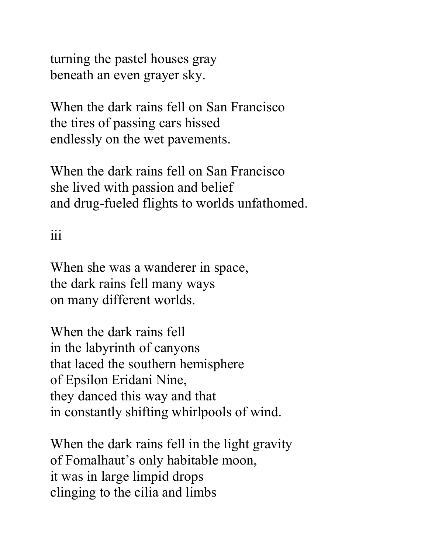turning the pastel houses gray beneath an even grayer sky.

When the dark rains fell on San Francisco the tires of passing cars hissed endlessly on the wet pavements.

When the dark rains fell on San Francisco she lived with passion and belief and drug-fueled flights to worlds unfathomed.

# iii

When she was a wanderer in space, the dark rains fell many ways on many different worlds.

When the dark rains fell in the labyrinth of canyons that laced the southern hemisphere of Epsilon Eridani Nine, they danced this way and that in constantly shifting whirlpools of wind.

When the dark rains fell in the light gravity of Fomalhaut's only habitable moon, it was in large limpid drops clinging to the cilia and limbs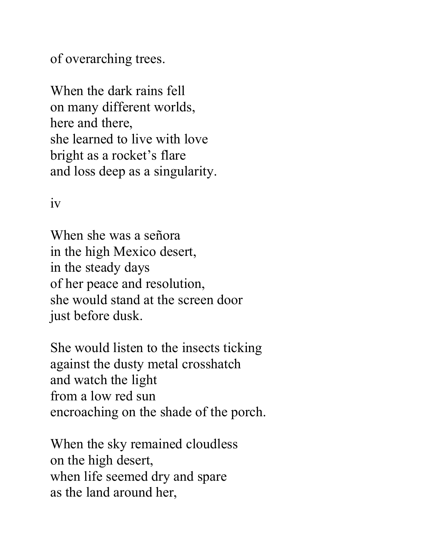of overarching trees.

When the dark rains fell on many different worlds, here and there, she learned to live with love bright as a rocket's flare and loss deep as a singularity.

iv

When she was a señora in the high Mexico desert, in the steady days of her peace and resolution, she would stand at the screen door just before dusk.

She would listen to the insects ticking against the dusty metal crosshatch and watch the light from a low red sun encroaching on the shade of the porch.

When the sky remained cloudless on the high desert, when life seemed dry and spare as the land around her,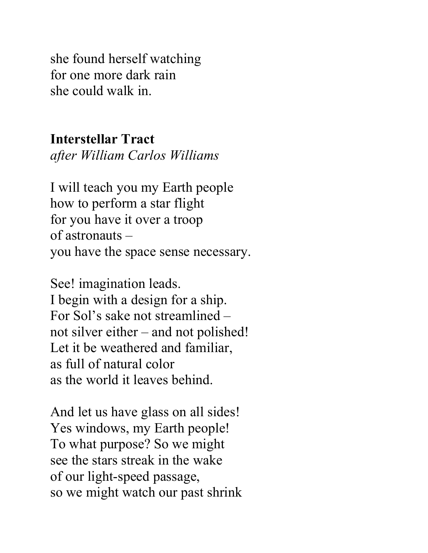she found herself watching for one more dark rain she could walk in.

#### **Interstellar Tract** *after William Carlos Williams*

I will teach you my Earth people how to perform a star flight for you have it over a troop of astronauts – you have the space sense necessary.

See! imagination leads. I begin with a design for a ship. For Sol's sake not streamlined – not silver either – and not polished! Let it be weathered and familiar, as full of natural color as the world it leaves behind.

And let us have glass on all sides! Yes windows, my Earth people! To what purpose? So we might see the stars streak in the wake of our light-speed passage, so we might watch our past shrink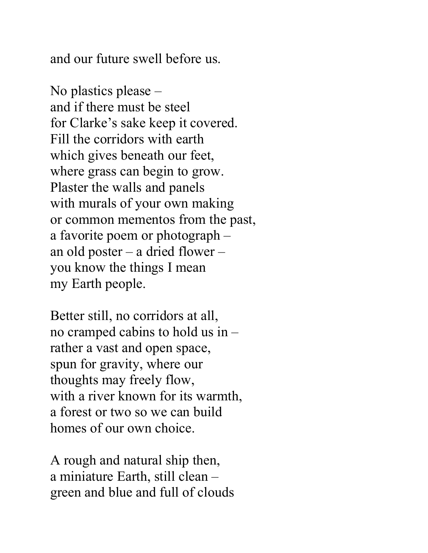and our future swell before us.

No plastics please – and if there must be steel for Clarke's sake keep it covered. Fill the corridors with earth which gives beneath our feet, where grass can begin to grow. Plaster the walls and panels with murals of your own making or common mementos from the past, a favorite poem or photograph – an old poster – a dried flower – you know the things I mean my Earth people.

Better still, no corridors at all, no cramped cabins to hold us in – rather a vast and open space, spun for gravity, where our thoughts may freely flow, with a river known for its warmth, a forest or two so we can build homes of our own choice.

A rough and natural ship then, a miniature Earth, still clean – green and blue and full of clouds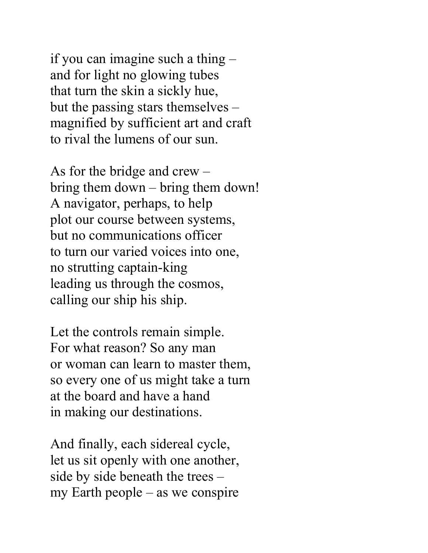if you can imagine such a thing – and for light no glowing tubes that turn the skin a sickly hue, but the passing stars themselves – magnified by sufficient art and craft to rival the lumens of our sun.

As for the bridge and crew – bring them down – bring them down! A navigator, perhaps, to help plot our course between systems, but no communications officer to turn our varied voices into one, no strutting captain-king leading us through the cosmos, calling our ship his ship.

Let the controls remain simple. For what reason? So any man or woman can learn to master them, so every one of us might take a turn at the board and have a hand in making our destinations.

And finally, each sidereal cycle, let us sit openly with one another, side by side beneath the trees – my Earth people – as we conspire